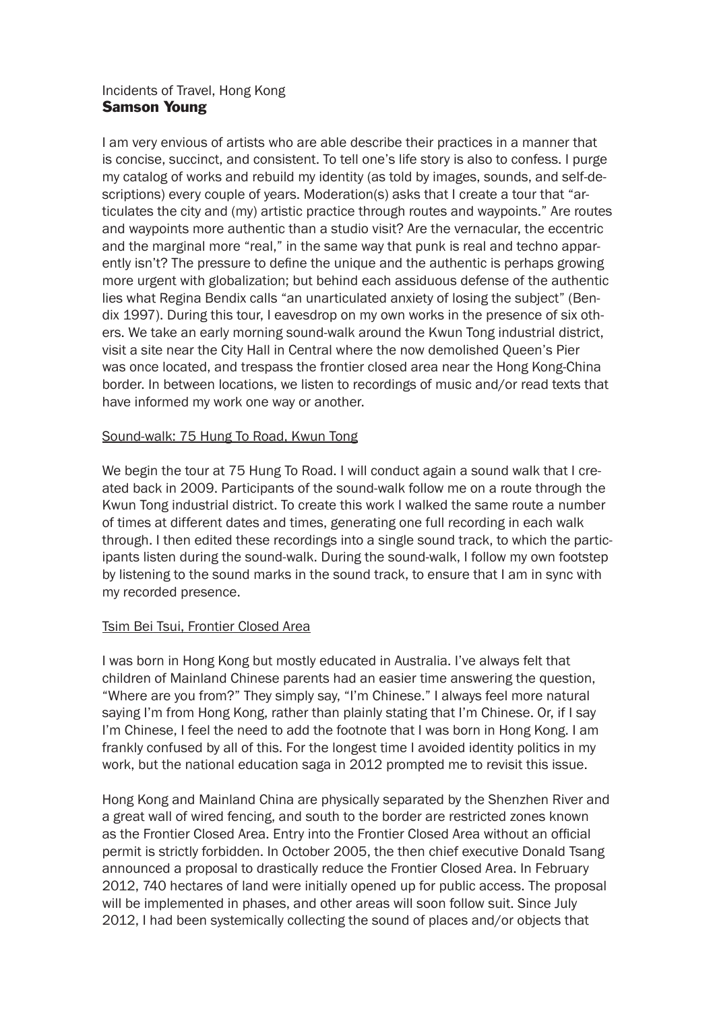## Incidents of Travel, Hong Kong Samson Young

I am very envious of artists who are able describe their practices in a manner that is concise, succinct, and consistent. To tell one's life story is also to confess. I purge my catalog of works and rebuild my identity (as told by images, sounds, and self-descriptions) every couple of years. Moderation(s) asks that I create a tour that "articulates the city and (my) artistic practice through routes and waypoints." Are routes and waypoints more authentic than a studio visit? Are the vernacular, the eccentric and the marginal more "real," in the same way that punk is real and techno apparently isn't? The pressure to define the unique and the authentic is perhaps growing more urgent with globalization; but behind each assiduous defense of the authentic lies what Regina Bendix calls "an unarticulated anxiety of losing the subject" (Bendix 1997). During this tour, I eavesdrop on my own works in the presence of six others. We take an early morning sound-walk around the Kwun Tong industrial district, visit a site near the City Hall in Central where the now demolished Queen's Pier was once located, and trespass the frontier closed area near the Hong Kong-China border. In between locations, we listen to recordings of music and/or read texts that have informed my work one way or another.

# Sound-walk: 75 Hung To Road, Kwun Tong

We begin the tour at 75 Hung To Road. I will conduct again a sound walk that I created back in 2009. Participants of the sound-walk follow me on a route through the Kwun Tong industrial district. To create this work I walked the same route a number of times at different dates and times, generating one full recording in each walk through. I then edited these recordings into a single sound track, to which the participants listen during the sound-walk. During the sound-walk, I follow my own footstep by listening to the sound marks in the sound track, to ensure that I am in sync with my recorded presence.

## Tsim Bei Tsui, Frontier Closed Area

I was born in Hong Kong but mostly educated in Australia. I've always felt that children of Mainland Chinese parents had an easier time answering the question, "Where are you from?" They simply say, "I'm Chinese." I always feel more natural saying I'm from Hong Kong, rather than plainly stating that I'm Chinese. Or, if I say I'm Chinese, I feel the need to add the footnote that I was born in Hong Kong. I am frankly confused by all of this. For the longest time I avoided identity politics in my work, but the national education saga in 2012 prompted me to revisit this issue.

Hong Kong and Mainland China are physically separated by the Shenzhen River and a great wall of wired fencing, and south to the border are restricted zones known as the Frontier Closed Area. Entry into the Frontier Closed Area without an official permit is strictly forbidden. In October 2005, the then chief executive Donald Tsang announced a proposal to drastically reduce the Frontier Closed Area. In February 2012, 740 hectares of land were initially opened up for public access. The proposal will be implemented in phases, and other areas will soon follow suit. Since July 2012, I had been systemically collecting the sound of places and/or objects that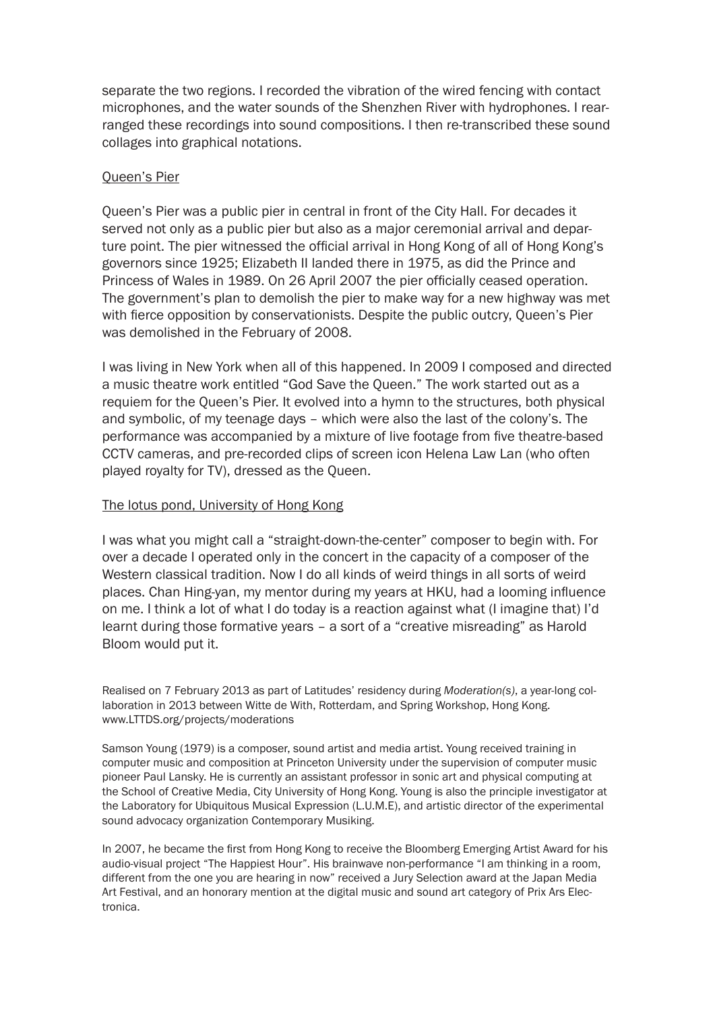separate the two regions. I recorded the vibration of the wired fencing with contact microphones, and the water sounds of the Shenzhen River with hydrophones. I rearranged these recordings into sound compositions. I then re-transcribed these sound collages into graphical notations.

#### Queen's Pier

Queen's Pier was a public pier in central in front of the City Hall. For decades it served not only as a public pier but also as a major ceremonial arrival and departure point. The pier witnessed the official arrival in Hong Kong of all of Hong Kong's governors since 1925; Elizabeth II landed there in 1975, as did the Prince and Princess of Wales in 1989. On 26 April 2007 the pier officially ceased operation. The government's plan to demolish the pier to make way for a new highway was met with fierce opposition by conservationists. Despite the public outcry, Queen's Pier was demolished in the February of 2008.

I was living in New York when all of this happened. In 2009 I composed and directed a music theatre work entitled "God Save the Queen." The work started out as a requiem for the Queen's Pier. It evolved into a hymn to the structures, both physical and symbolic, of my teenage days – which were also the last of the colony's. The performance was accompanied by a mixture of live footage from five theatre-based CCTV cameras, and pre-recorded clips of screen icon Helena Law Lan (who often played royalty for TV), dressed as the Queen.

#### The lotus pond, University of Hong Kong

I was what you might call a "straight-down-the-center" composer to begin with. For over a decade I operated only in the concert in the capacity of a composer of the Western classical tradition. Now I do all kinds of weird things in all sorts of weird places. Chan Hing-yan, my mentor during my years at HKU, had a looming influence on me. I think a lot of what I do today is a reaction against what (I imagine that) I'd learnt during those formative years – a sort of a "creative misreading" as Harold Bloom would put it.

Realised on 7 February 2013 as part of Latitudes' residency during *Moderation(s)*, a year-long collaboration in 2013 between Witte de With, Rotterdam, and Spring Workshop, Hong Kong. www.LTTDS.org/projects/moderations

Samson Young (1979) is a composer, sound artist and media artist. Young received training in computer music and composition at Princeton University under the supervision of computer music pioneer Paul Lansky. He is currently an assistant professor in sonic art and physical computing at the School of Creative Media, City University of Hong Kong. Young is also the principle investigator at the Laboratory for Ubiquitous Musical Expression (L.U.M.E), and artistic director of the experimental sound advocacy organization Contemporary Musiking.

In 2007, he became the first from Hong Kong to receive the Bloomberg Emerging Artist Award for his audio-visual project "The Happiest Hour". His brainwave non-performance "I am thinking in a room, different from the one you are hearing in now" received a Jury Selection award at the Japan Media Art Festival, and an honorary mention at the digital music and sound art category of Prix Ars Electronica.